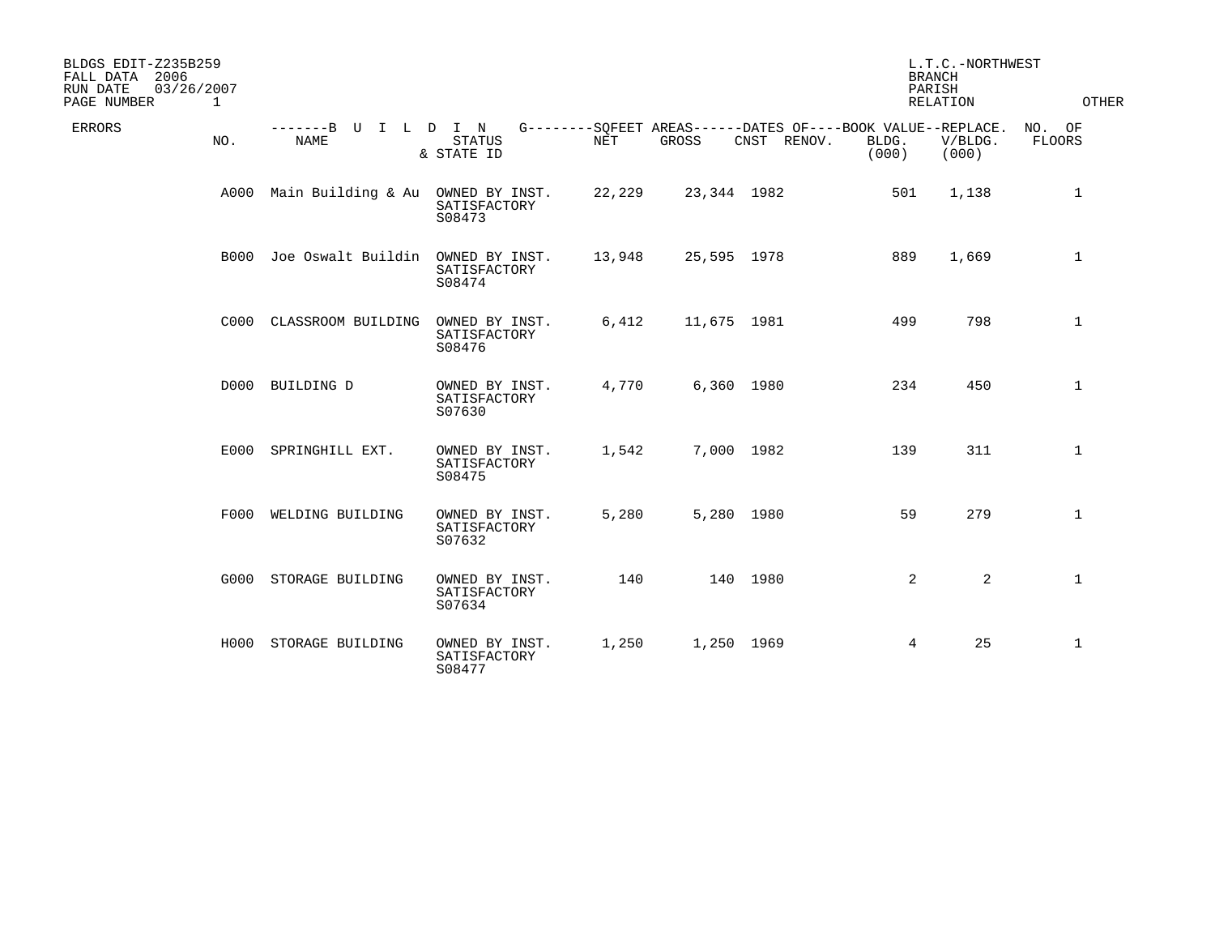| BLDGS EDIT-Z235B259<br>FALL DATA 2006<br>03/26/2007<br>RUN DATE<br>PAGE NUMBER<br>$\mathbf{1}$ |                           |                                          |        |             |             | PARISH                                                                        | L.T.C.-NORTHWEST<br><b>BRANCH</b><br><b>RELATION</b> | OTHER                   |
|------------------------------------------------------------------------------------------------|---------------------------|------------------------------------------|--------|-------------|-------------|-------------------------------------------------------------------------------|------------------------------------------------------|-------------------------|
| ERRORS<br>NO.                                                                                  | -------B U<br><b>NAME</b> | I L D I N<br><b>STATUS</b><br>& STATE ID | NET    | GROSS       | CNST RENOV. | G--------SQFEET AREAS------DATES OF----BOOK VALUE--REPLACE.<br>BLDG.<br>(000) | V/BLDG.<br>(000)                                     | NO. OF<br><b>FLOORS</b> |
| A000                                                                                           | Main Building & Au        | OWNED BY INST.<br>SATISFACTORY<br>S08473 | 22,229 | 23,344 1982 |             | 501                                                                           | 1,138                                                | $\mathbf{1}$            |
| B000                                                                                           | Joe Oswalt Buildin        | OWNED BY INST.<br>SATISFACTORY<br>S08474 | 13,948 | 25,595 1978 |             | 889                                                                           | 1,669                                                | $\mathbf{1}$            |
|                                                                                                | C000 CLASSROOM BUILDING   | OWNED BY INST.<br>SATISFACTORY<br>S08476 | 6,412  | 11,675 1981 |             | 499                                                                           | 798                                                  | $\mathbf{1}$            |
|                                                                                                | D000 BUILDING D           | OWNED BY INST.<br>SATISFACTORY<br>S07630 | 4,770  | 6,360 1980  |             | 234                                                                           | 450                                                  | $\mathbf{1}$            |
|                                                                                                | E000 SPRINGHILL EXT.      | OWNED BY INST.<br>SATISFACTORY<br>S08475 | 1,542  | 7,000 1982  |             | 139                                                                           | 311                                                  | $\mathbf 1$             |
|                                                                                                | F000 WELDING BUILDING     | OWNED BY INST.<br>SATISFACTORY<br>S07632 | 5,280  | 5,280 1980  |             | 59                                                                            | 279                                                  | $\mathbf 1$             |
| G000                                                                                           | STORAGE BUILDING          | OWNED BY INST.<br>SATISFACTORY<br>S07634 | 140    |             | 140 1980    | $\overline{2}$                                                                | 2                                                    | $\mathbf 1$             |
| H000                                                                                           | STORAGE BUILDING          | OWNED BY INST.<br>SATISFACTORY<br>S08477 | 1,250  | 1,250 1969  |             | 4                                                                             | 25                                                   | $\mathbf{1}$            |